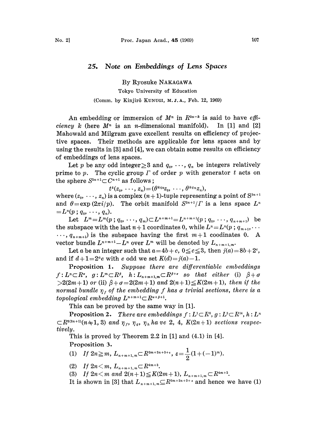## 25. Note on Embeddings of Lens Spaces

By Ryosuke NAKAGAWA Tokyo University of Education (Comm. by Kinjirô KUNUGI, M.J.A., Feb. 12, 1969)

An embedding or immersion of  $M^n$  in  $R^{2n-k}$  is said to have effi*ciency k* (here  $M<sup>n</sup>$  is an *n*-dimensional manifold). In [1] and [2] Mahowald and Milgram gave excellent results on efficiency of projective spaces. Their methods are applicable for lens spaces and by using the results in [3] and [4], we can obtain some results on efficiency of embeddings of lens spaces.

Let p be any odd integer  $\geq$  and  $q_0, \dots, q_n$  be integers relatively prime to  $p$ . The cyclic group  $\Gamma$  of order  $p$  with generator  $t$  acts on the sphere  $S^{2n+1} \subset C^{n+1}$  as follows;

 $t^k(z_0, \ldots, z_n) = (\theta^{kq_0}z_0, \ldots, \theta^{kq_n}z_n),$ 

where  $(z_0, \dots, z_n)$  is a complex  $(n+1)$ -tuple representing a point of  $S^{2n+1}$ and  $\theta = \exp (2\pi i/p)$ . The orbit manifold  $S^{2n+1}/\Gamma$  is a lens space  $L^n$  $=L^n(p: q_0, \ldots, q_n).$ 

Let  $L^m = L^m(p; q_0, \dots, q_m) \subset L^{n+m+1} = L^{n+m+1}(p; q_0, \dots, q_{n+m+1})$  be the subspace with the last  $n+1$  coordinates 0, while  $L^n = L^n(p; q_{m+1}, \ldots)$  $\ldots$ ,  $q_{n+m+1}$  is the subspace having the first  $m+1$  coodinates 0. A vector bundle  $L^{n+m+1}-L^n$  over  $L^m$  will be denoted by  $L_{n+m+1,m}$ .

Let a be an integer such that  $a=4b+c$ ,  $0 \le c \le 3$ , then  $j(a)=8b+2^c$ , and if  $d+1=2^{\alpha}e$  with e odd we set  $K(d)=j(a)-1$ .

Proposition 1. Suppose there are differentiable embeddings  $f: L^n \subset \mathbb{R}^{\alpha}, \quad g: L^m \subset \mathbb{R}^{\beta}, \quad h: L_{n+m+1,m} \subset \mathbb{R}^{\beta+\sigma} \quad so \quad that \quad either \quad (i) \quad \beta+\sigma$  $>2(2m+1)$  or (ii)  $\beta + \sigma = 2(2m+1)$  and  $2(n+1) \leq K(2m+1)$ , then if the normal bundle  $\eta_f$  of the embedding f has a trivial sections, there is a topological embedding  $L^{n+m+1} \subset R^{a+\beta+1}$ .

This can be proved by the same way in [1].

**Proposition 2.** There are embeddings  $f: L^1 \subset R^6$ ,  $g: L^3 \subset R^{14}$ ,  $h: L^n$  $\subset R^{\frac{2(n+1)}{n+1}}(n+1, 3)$  and  $\eta_f$ ,  $\eta_g$ ,  $\eta_h$  ha ve 2, 4,  $K(2n+1)$  sections respectively.

This is proved by Theorem 2.2 in [1] and (4.1) in [4]. Proposition 3.

(1) If 
$$
2n \ge m
$$
,  $L_{n+m+1,m} \subset R^{3m+2n+3+\epsilon}$ ,  $\epsilon = \frac{1}{2}(1+(-1)^m)$ .

(2) If  $2n \leq m$ ,  $L_{n+m+1,m} \subset R^{4m+3}$ .

(3) If  $2n \le m$  and  $2(n+1) \le K(2m+1), L_{n+m+1,m} \subset R^{4m+2}.$ 

It is shown in [3] that  $L_{n+m+1,m} \subseteq R^{3m+2n+3+\epsilon}$  and hence we have (1)